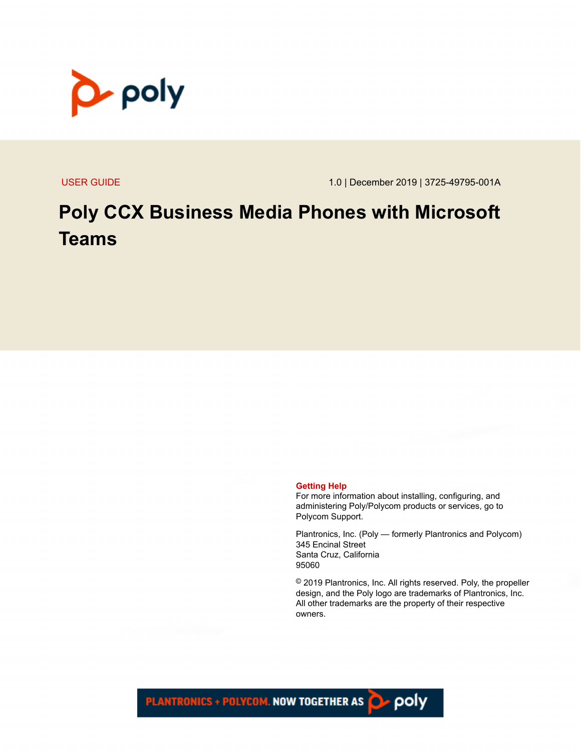

USER GUIDE 1.0 | December 2019 | 3725-49795-001A

## **Poly CCX Business Media Phones with Microsoft Teams**

#### **Getting Help**

For more information about installing, configuring, and administering Poly/Polycom products or services, go to Polycom Support.

Plantronics, Inc. (Poly — formerly Plantronics and Polycom) 345 Encinal Street Santa Cruz, California 95060

© 2019 Plantronics, Inc. All rights reserved. Poly, the propeller design, and the Poly logo are trademarks of Plantronics, Inc. All other trademarks are the property of their respective owners.

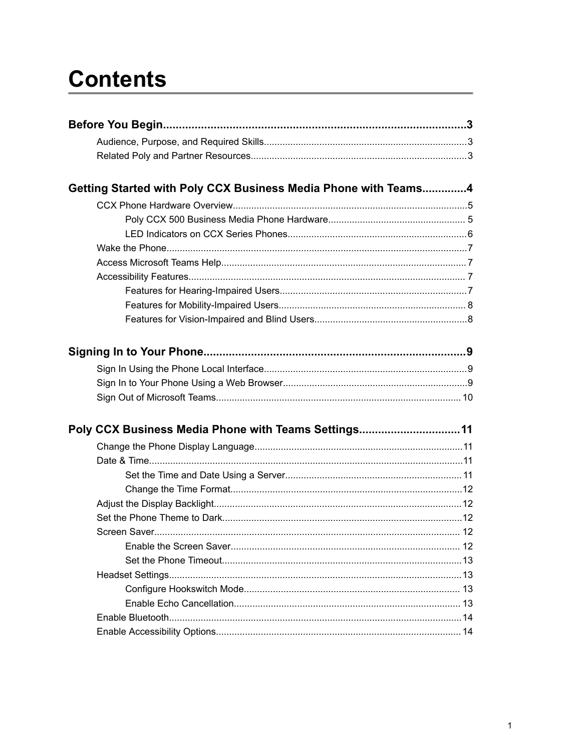# **Contents**

| Getting Started with Poly CCX Business Media Phone with Teams4 |  |
|----------------------------------------------------------------|--|
|                                                                |  |
|                                                                |  |
|                                                                |  |
|                                                                |  |
|                                                                |  |
|                                                                |  |
|                                                                |  |
|                                                                |  |
|                                                                |  |
|                                                                |  |
|                                                                |  |
|                                                                |  |
|                                                                |  |
| Poly CCX Business Media Phone with Teams Settings11            |  |
|                                                                |  |
|                                                                |  |
|                                                                |  |
|                                                                |  |
|                                                                |  |
|                                                                |  |
|                                                                |  |
|                                                                |  |
|                                                                |  |
|                                                                |  |
|                                                                |  |
|                                                                |  |
|                                                                |  |
|                                                                |  |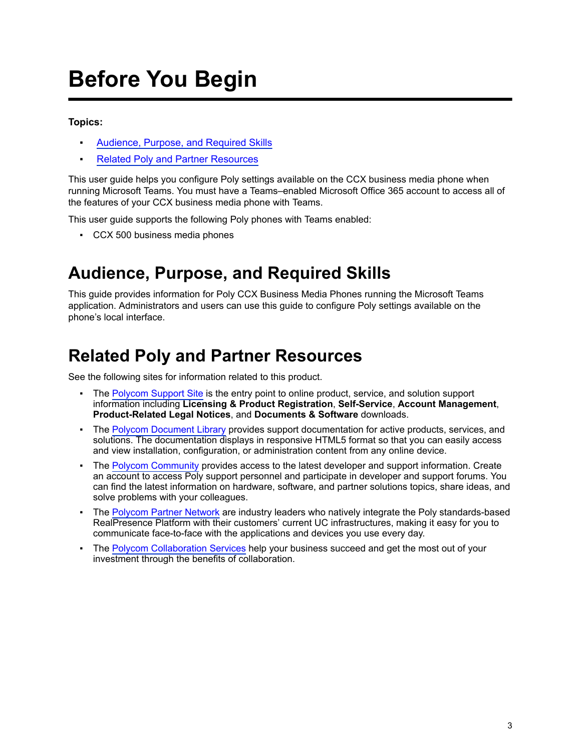# <span id="page-3-0"></span>**Before You Begin**

### **Topics:**

- Audience, Purpose, and Required Skills
- **Related Poly and Partner Resources**

This user guide helps you configure Poly settings available on the CCX business media phone when running Microsoft Teams. You must have a Teams–enabled Microsoft Office 365 account to access all of the features of your CCX business media phone with Teams.

This user guide supports the following Poly phones with Teams enabled:

▪ CCX 500 business media phones

### **Audience, Purpose, and Required Skills**

This guide provides information for Poly CCX Business Media Phones running the Microsoft Teams application. Administrators and users can use this guide to configure Poly settings available on the phone's local interface.

### **Related Poly and Partner Resources**

See the following sites for information related to this product.

- **The [Polycom Support Site](https://support.polycom.com/PolycomService/home/home.htm) is the entry point to online product, service, and solution support** information including **Licensing & Product Registration**, **Self-Service**, **Account Management**, **Product-Related Legal Notices**, and **Documents & Software** downloads.
- The [Polycom Document Library](https://documents.polycom.com/) provides support documentation for active products, services, and solutions. The documentation displays in responsive HTML5 format so that you can easily access and view installation, configuration, or administration content from any online device.
- The [Polycom Community](https://community.polycom.com/) provides access to the latest developer and support information. Create an account to access Poly support personnel and participate in developer and support forums. You can find the latest information on hardware, software, and partner solutions topics, share ideas, and solve problems with your colleagues.
- The [Polycom Partner Network](https://www.polycom.com/partners.html) are industry leaders who natively integrate the Poly standards-based RealPresence Platform with their customers' current UC infrastructures, making it easy for you to communicate face-to-face with the applications and devices you use every day.
- The [Polycom Collaboration Services](https://www.polycom.com/content/www/en/collaboration-services.html) help your business succeed and get the most out of your investment through the benefits of collaboration.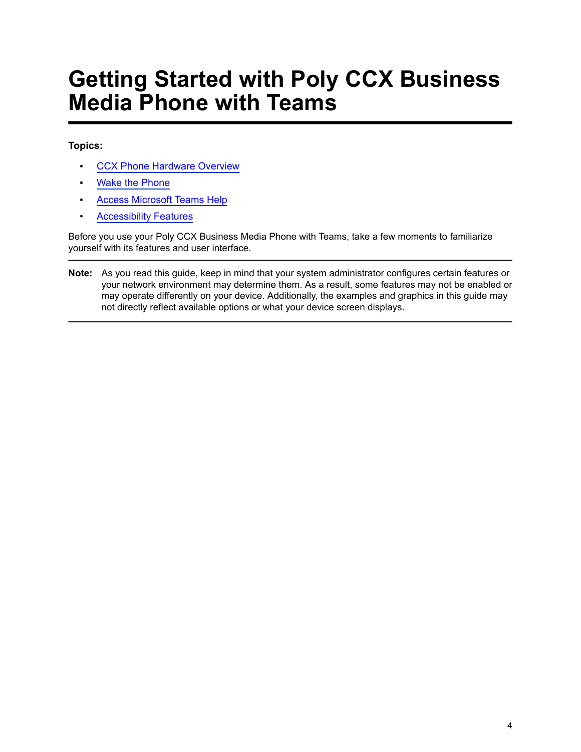# <span id="page-4-0"></span>**Getting Started with Poly CCX Business Media Phone with Teams**

### **Topics:**

- **[CCX Phone Hardware Overview](#page-5-0)**
- **[Wake the Phone](#page-7-0)**
- **[Access Microsoft Teams Help](#page-7-0)**
- [Accessibility Features](#page-7-0)

Before you use your Poly CCX Business Media Phone with Teams, take a few moments to familiarize yourself with its features and user interface.

**Note:** As you read this guide, keep in mind that your system administrator configures certain features or your network environment may determine them. As a result, some features may not be enabled or may operate differently on your device. Additionally, the examples and graphics in this guide may not directly reflect available options or what your device screen displays.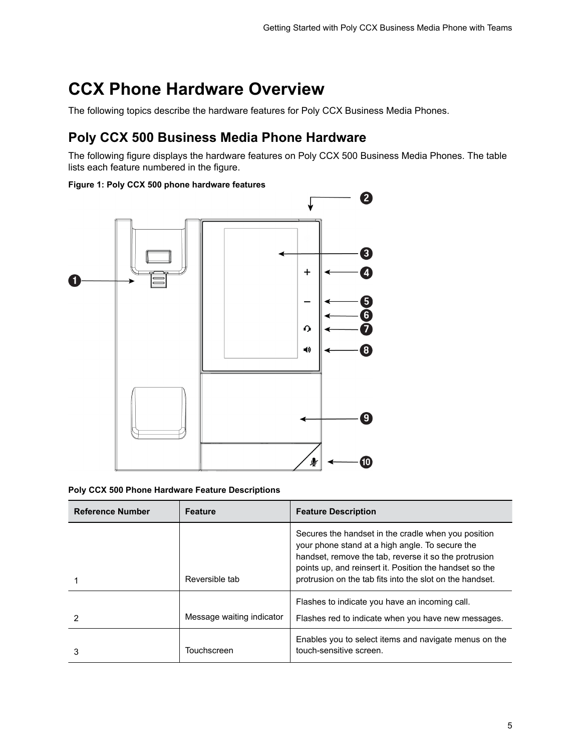## <span id="page-5-0"></span>**CCX Phone Hardware Overview**

The following topics describe the hardware features for Poly CCX Business Media Phones.

### **Poly CCX 500 Business Media Phone Hardware**

The following figure displays the hardware features on Poly CCX 500 Business Media Phones. The table lists each feature numbered in the figure.

#### **Figure 1: Poly CCX 500 phone hardware features**



#### **Poly CCX 500 Phone Hardware Feature Descriptions**

| <b>Reference Number</b> | <b>Feature</b>            | <b>Feature Description</b>                                                                                                                                                                                                                                                             |
|-------------------------|---------------------------|----------------------------------------------------------------------------------------------------------------------------------------------------------------------------------------------------------------------------------------------------------------------------------------|
|                         | Reversible tab            | Secures the handset in the cradle when you position<br>your phone stand at a high angle. To secure the<br>handset, remove the tab, reverse it so the protrusion<br>points up, and reinsert it. Position the handset so the<br>protrusion on the tab fits into the slot on the handset. |
| 2                       | Message waiting indicator | Flashes to indicate you have an incoming call.<br>Flashes red to indicate when you have new messages.                                                                                                                                                                                  |
| 3                       | Touchscreen               | Enables you to select items and navigate menus on the<br>touch-sensitive screen.                                                                                                                                                                                                       |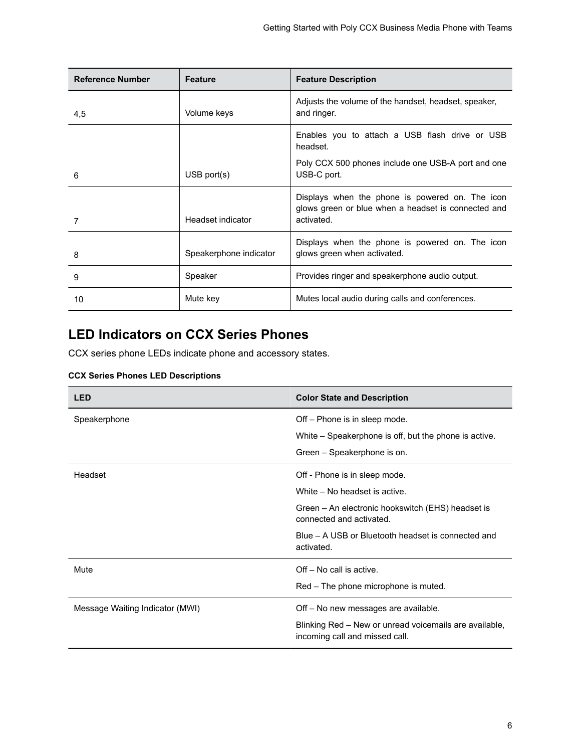<span id="page-6-0"></span>

| <b>Reference Number</b> | <b>Feature</b>         | <b>Feature Description</b>                                                                                           |
|-------------------------|------------------------|----------------------------------------------------------------------------------------------------------------------|
| 4,5                     | Volume keys            | Adjusts the volume of the handset, headset, speaker,<br>and ringer.                                                  |
|                         |                        | Enables you to attach a USB flash drive or USB<br>headset.                                                           |
| 6                       | $USB$ port $(s)$       | Poly CCX 500 phones include one USB-A port and one<br>USB-C port.                                                    |
| 7                       | Headset indicator      | Displays when the phone is powered on. The icon<br>glows green or blue when a headset is connected and<br>activated. |
| 8                       | Speakerphone indicator | Displays when the phone is powered on. The icon<br>glows green when activated.                                       |
| 9                       | Speaker                | Provides ringer and speakerphone audio output.                                                                       |
| 10                      | Mute key               | Mutes local audio during calls and conferences.                                                                      |

### **LED Indicators on CCX Series Phones**

CCX series phone LEDs indicate phone and accessory states.

### **CCX Series Phones LED Descriptions**

| <b>LED</b>                      | <b>Color State and Description</b>                                                       |
|---------------------------------|------------------------------------------------------------------------------------------|
| Speakerphone                    | Off – Phone is in sleep mode.                                                            |
|                                 | White – Speakerphone is off, but the phone is active.                                    |
|                                 | Green – Speakerphone is on.                                                              |
| Headset                         | Off - Phone is in sleep mode.                                                            |
|                                 | White – No headset is active.                                                            |
|                                 | Green - An electronic hookswitch (EHS) headset is<br>connected and activated.            |
|                                 | Blue – A USB or Bluetooth headset is connected and<br>activated.                         |
| Mute                            | $Off - No$ call is active.                                                               |
|                                 | Red – The phone microphone is muted.                                                     |
| Message Waiting Indicator (MWI) | Off – No new messages are available.                                                     |
|                                 | Blinking Red - New or unread voicemails are available,<br>incoming call and missed call. |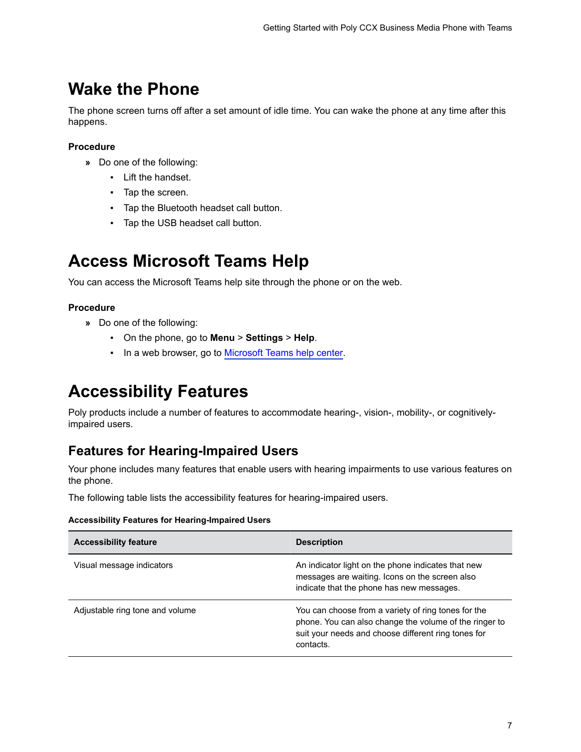### <span id="page-7-0"></span>**Wake the Phone**

The phone screen turns off after a set amount of idle time. You can wake the phone at any time after this happens.

### **Procedure**

- **»** Do one of the following:
	- Lift the handset.
	- Tap the screen.
	- Tap the Bluetooth headset call button.
	- Tap the USB headset call button.

## **Access Microsoft Teams Help**

You can access the Microsoft Teams help site through the phone or on the web.

### **Procedure**

- **»** Do one of the following:
	- On the phone, go to **Menu** > **Settings** > **Help**.
	- In a web browser, go to [Microsoft Teams help center.](https://support.office.com/en-us/teams)

## **Accessibility Features**

Poly products include a number of features to accommodate hearing-, vision-, mobility-, or cognitivelyimpaired users.

### **Features for Hearing-Impaired Users**

Your phone includes many features that enable users with hearing impairments to use various features on the phone.

The following table lists the accessibility features for hearing-impaired users.

#### **Accessibility Features for Hearing-Impaired Users**

| <b>Accessibility feature</b>    | <b>Description</b>                                                                                                                                                                |
|---------------------------------|-----------------------------------------------------------------------------------------------------------------------------------------------------------------------------------|
| Visual message indicators       | An indicator light on the phone indicates that new<br>messages are waiting. Icons on the screen also<br>indicate that the phone has new messages.                                 |
| Adjustable ring tone and volume | You can choose from a variety of ring tones for the<br>phone. You can also change the volume of the ringer to<br>suit your needs and choose different ring tones for<br>contacts. |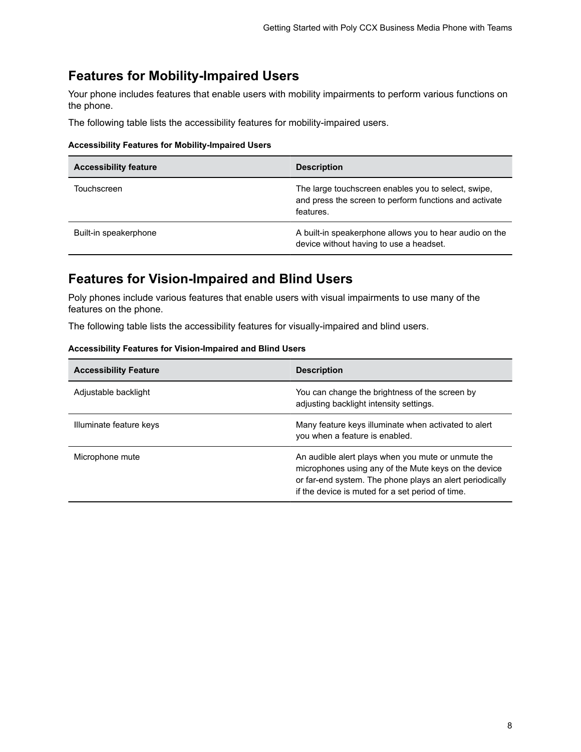### <span id="page-8-0"></span>**Features for Mobility-Impaired Users**

Your phone includes features that enable users with mobility impairments to perform various functions on the phone.

The following table lists the accessibility features for mobility-impaired users.

#### **Accessibility Features for Mobility-Impaired Users**

| <b>Accessibility feature</b> | <b>Description</b>                                                                                                         |
|------------------------------|----------------------------------------------------------------------------------------------------------------------------|
| Touchscreen                  | The large touchscreen enables you to select, swipe,<br>and press the screen to perform functions and activate<br>features. |
| Built-in speakerphone        | A built-in speakerphone allows you to hear audio on the<br>device without having to use a headset.                         |

### **Features for Vision-Impaired and Blind Users**

Poly phones include various features that enable users with visual impairments to use many of the features on the phone.

The following table lists the accessibility features for visually-impaired and blind users.

| <b>Accessibility Feature</b> | <b>Description</b>                                                                                                                                                                                                         |
|------------------------------|----------------------------------------------------------------------------------------------------------------------------------------------------------------------------------------------------------------------------|
| Adjustable backlight         | You can change the brightness of the screen by<br>adjusting backlight intensity settings.                                                                                                                                  |
| Illuminate feature keys      | Many feature keys illuminate when activated to alert<br>you when a feature is enabled.                                                                                                                                     |
| Microphone mute              | An audible alert plays when you mute or unmute the<br>microphones using any of the Mute keys on the device<br>or far-end system. The phone plays an alert periodically<br>if the device is muted for a set period of time. |

#### **Accessibility Features for Vision-Impaired and Blind Users**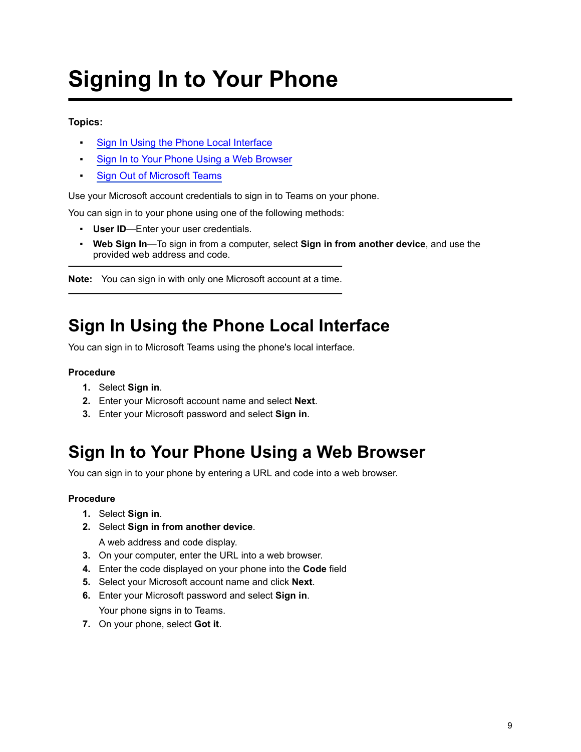# <span id="page-9-0"></span>**Signing In to Your Phone**

### **Topics:**

- Sign In Using the Phone Local Interface
- **Sign In to Your Phone Using a Web Browser**
- **[Sign Out of Microsoft Teams](#page-10-0)**

Use your Microsoft account credentials to sign in to Teams on your phone.

You can sign in to your phone using one of the following methods:

- **User ID**—Enter your user credentials.
- **Web Sign In**—To sign in from a computer, select **Sign in from another device**, and use the provided web address and code.

**Note:** You can sign in with only one Microsoft account at a time.

## **Sign In Using the Phone Local Interface**

You can sign in to Microsoft Teams using the phone's local interface.

### **Procedure**

- **1.** Select **Sign in**.
- **2.** Enter your Microsoft account name and select **Next**.
- **3.** Enter your Microsoft password and select **Sign in**.

## **Sign In to Your Phone Using a Web Browser**

You can sign in to your phone by entering a URL and code into a web browser.

### **Procedure**

- **1.** Select **Sign in**.
- **2.** Select **Sign in from another device**.

A web address and code display.

- **3.** On your computer, enter the URL into a web browser.
- **4.** Enter the code displayed on your phone into the **Code** field
- **5.** Select your Microsoft account name and click **Next**.
- **6.** Enter your Microsoft password and select **Sign in**.

Your phone signs in to Teams.

**7.** On your phone, select **Got it**.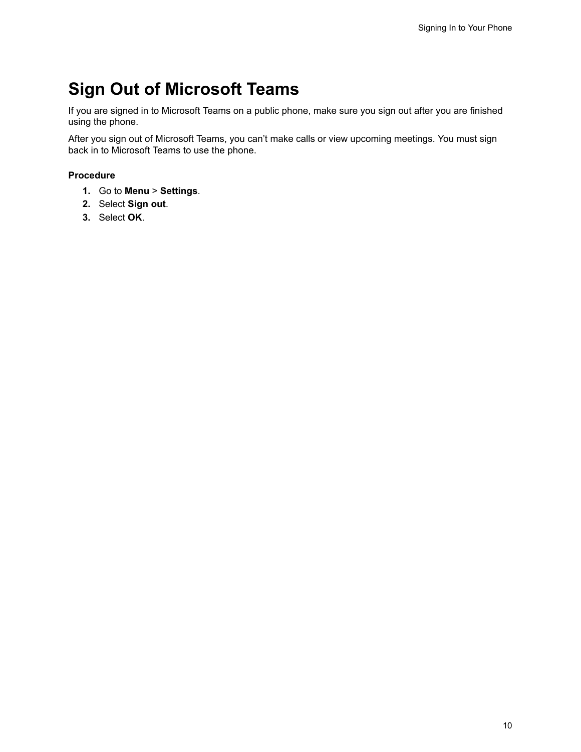## <span id="page-10-0"></span>**Sign Out of Microsoft Teams**

If you are signed in to Microsoft Teams on a public phone, make sure you sign out after you are finished using the phone.

After you sign out of Microsoft Teams, you can't make calls or view upcoming meetings. You must sign back in to Microsoft Teams to use the phone.

- **1.** Go to **Menu** > **Settings**.
- **2.** Select **Sign out**.
- **3.** Select **OK**.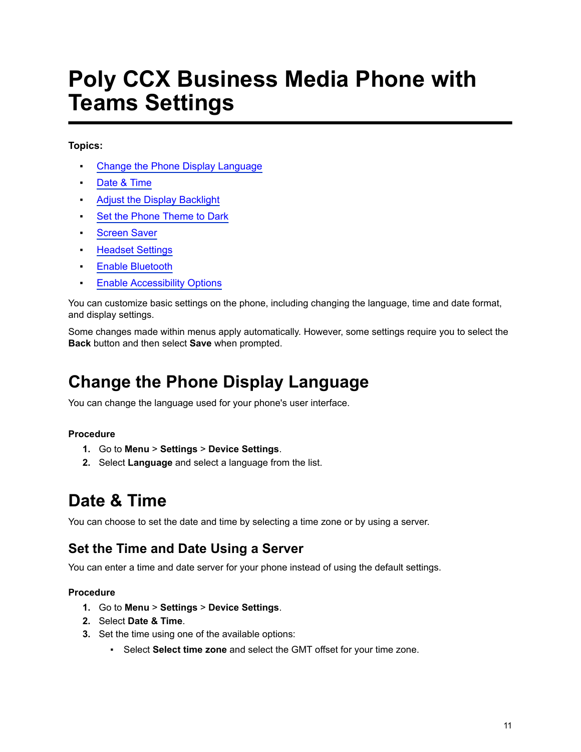# <span id="page-11-0"></span>**Poly CCX Business Media Phone with Teams Settings**

### **Topics:**

- **Change the Phone Display Language**
- Date & Time
- **[Adjust the Display Backlight](#page-12-0)**
- **[Set the Phone Theme to Dark](#page-12-0)**
- [Screen Saver](#page-12-0)
- **[Headset Settings](#page-13-0)**
- **[Enable Bluetooth](#page-14-0)**
- **[Enable Accessibility Options](#page-14-0)**

You can customize basic settings on the phone, including changing the language, time and date format, and display settings.

Some changes made within menus apply automatically. However, some settings require you to select the **Back** button and then select **Save** when prompted.

## **Change the Phone Display Language**

You can change the language used for your phone's user interface.

### **Procedure**

- **1.** Go to **Menu** > **Settings** > **Device Settings**.
- **2.** Select **Language** and select a language from the list.

### **Date & Time**

You can choose to set the date and time by selecting a time zone or by using a server.

### **Set the Time and Date Using a Server**

You can enter a time and date server for your phone instead of using the default settings.

- **1.** Go to **Menu** > **Settings** > **Device Settings**.
- **2.** Select **Date & Time**.
- **3.** Set the time using one of the available options:
	- Select **Select time zone** and select the GMT offset for your time zone.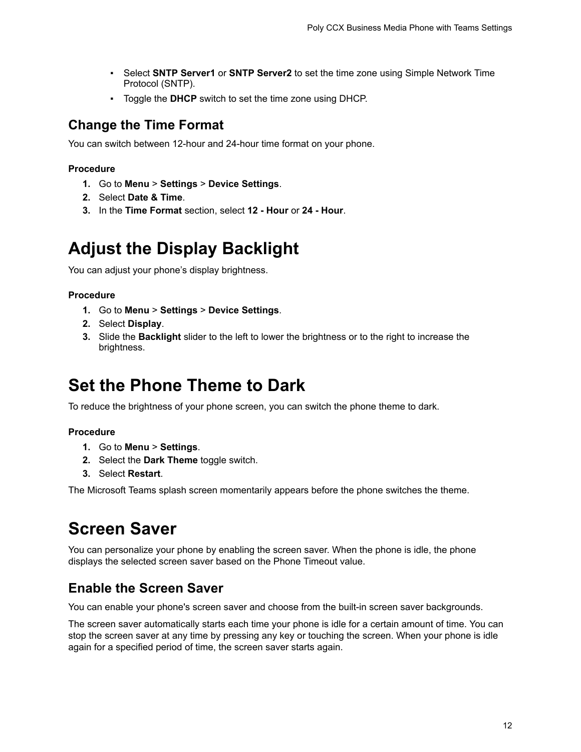- <span id="page-12-0"></span>▪ Select **SNTP Server1** or **SNTP Server2** to set the time zone using Simple Network Time Protocol (SNTP).
- Toggle the **DHCP** switch to set the time zone using DHCP.

### **Change the Time Format**

You can switch between 12-hour and 24-hour time format on your phone.

#### **Procedure**

- **1.** Go to **Menu** > **Settings** > **Device Settings**.
- **2.** Select **Date & Time**.
- **3.** In the **Time Format** section, select **12 Hour** or **24 Hour**.

### **Adjust the Display Backlight**

You can adjust your phone's display brightness.

#### **Procedure**

- **1.** Go to **Menu** > **Settings** > **Device Settings**.
- **2.** Select **Display**.
- **3.** Slide the **Backlight** slider to the left to lower the brightness or to the right to increase the brightness.

### **Set the Phone Theme to Dark**

To reduce the brightness of your phone screen, you can switch the phone theme to dark.

#### **Procedure**

- **1.** Go to **Menu** > **Settings**.
- **2.** Select the **Dark Theme** toggle switch.
- **3.** Select **Restart**.

The Microsoft Teams splash screen momentarily appears before the phone switches the theme.

## **Screen Saver**

You can personalize your phone by enabling the screen saver. When the phone is idle, the phone displays the selected screen saver based on the Phone Timeout value.

### **Enable the Screen Saver**

You can enable your phone's screen saver and choose from the built-in screen saver backgrounds.

The screen saver automatically starts each time your phone is idle for a certain amount of time. You can stop the screen saver at any time by pressing any key or touching the screen. When your phone is idle again for a specified period of time, the screen saver starts again.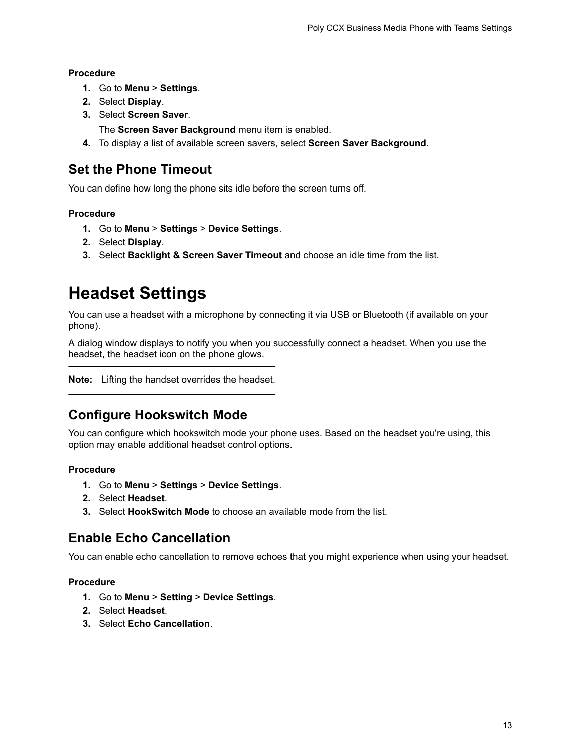#### <span id="page-13-0"></span>**Procedure**

- **1.** Go to **Menu** > **Settings**.
- **2.** Select **Display**.
- **3.** Select **Screen Saver**.

The **Screen Saver Background** menu item is enabled.

**4.** To display a list of available screen savers, select **Screen Saver Background**.

### **Set the Phone Timeout**

You can define how long the phone sits idle before the screen turns off.

### **Procedure**

- **1.** Go to **Menu** > **Settings** > **Device Settings**.
- **2.** Select **Display**.
- **3.** Select **Backlight & Screen Saver Timeout** and choose an idle time from the list.

### **Headset Settings**

You can use a headset with a microphone by connecting it via USB or Bluetooth (if available on your phone).

A dialog window displays to notify you when you successfully connect a headset. When you use the headset, the headset icon on the phone glows.

**Note:** Lifting the handset overrides the headset.

### **Configure Hookswitch Mode**

You can configure which hookswitch mode your phone uses. Based on the headset you're using, this option may enable additional headset control options.

#### **Procedure**

- **1.** Go to **Menu** > **Settings** > **Device Settings**.
- **2.** Select **Headset**.
- **3.** Select **HookSwitch Mode** to choose an available mode from the list.

### **Enable Echo Cancellation**

You can enable echo cancellation to remove echoes that you might experience when using your headset.

- **1.** Go to **Menu** > **Setting** > **Device Settings**.
- **2.** Select **Headset**.
- **3.** Select **Echo Cancellation**.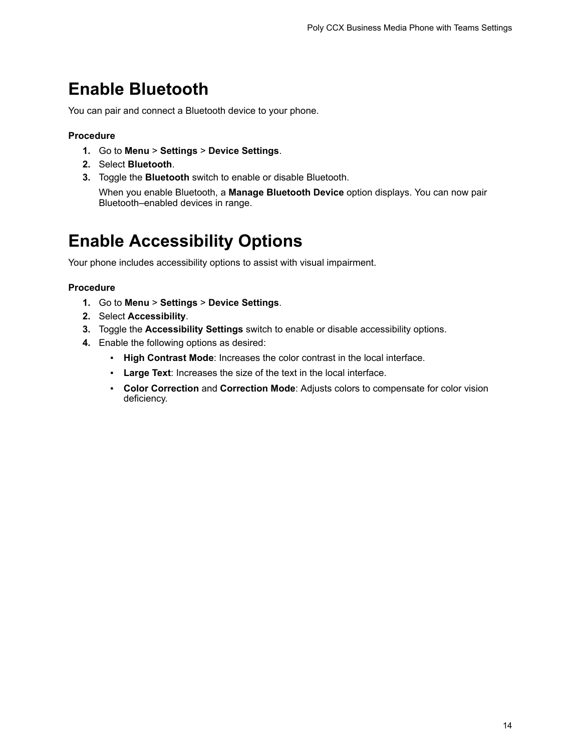### <span id="page-14-0"></span>**Enable Bluetooth**

You can pair and connect a Bluetooth device to your phone.

#### **Procedure**

- **1.** Go to **Menu** > **Settings** > **Device Settings**.
- **2.** Select **Bluetooth**.
- **3.** Toggle the **Bluetooth** switch to enable or disable Bluetooth.

When you enable Bluetooth, a **Manage Bluetooth Device** option displays. You can now pair Bluetooth–enabled devices in range.

### **Enable Accessibility Options**

Your phone includes accessibility options to assist with visual impairment.

- **1.** Go to **Menu** > **Settings** > **Device Settings**.
- **2.** Select **Accessibility**.
- **3.** Toggle the **Accessibility Settings** switch to enable or disable accessibility options.
- **4.** Enable the following options as desired:
	- **High Contrast Mode**: Increases the color contrast in the local interface.
	- **Large Text**: Increases the size of the text in the local interface.
	- **Color Correction** and **Correction Mode**: Adjusts colors to compensate for color vision deficiency.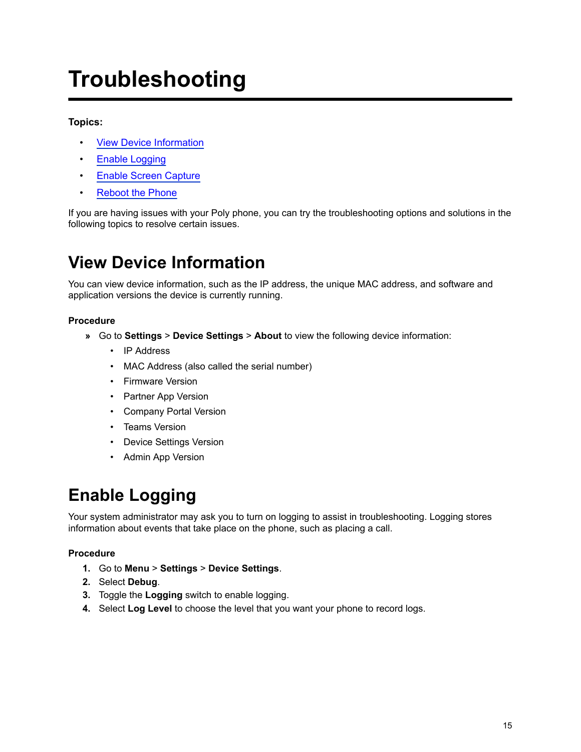# <span id="page-15-0"></span>**Troubleshooting**

### **Topics:**

- **View Device Information**
- Enable Logging
- [Enable Screen Capture](#page-16-0)
- [Reboot the Phone](#page-16-0)

If you are having issues with your Poly phone, you can try the troubleshooting options and solutions in the following topics to resolve certain issues.

## **View Device Information**

You can view device information, such as the IP address, the unique MAC address, and software and application versions the device is currently running.

#### **Procedure**

- **»** Go to **Settings** > **Device Settings** > **About** to view the following device information:
	- IP Address
	- MAC Address (also called the serial number)
	- Firmware Version
	- Partner App Version
	- Company Portal Version
	- Teams Version
	- Device Settings Version
	- Admin App Version

## **Enable Logging**

Your system administrator may ask you to turn on logging to assist in troubleshooting. Logging stores information about events that take place on the phone, such as placing a call.

- **1.** Go to **Menu** > **Settings** > **Device Settings**.
- **2.** Select **Debug**.
- **3.** Toggle the **Logging** switch to enable logging.
- **4.** Select **Log Level** to choose the level that you want your phone to record logs.